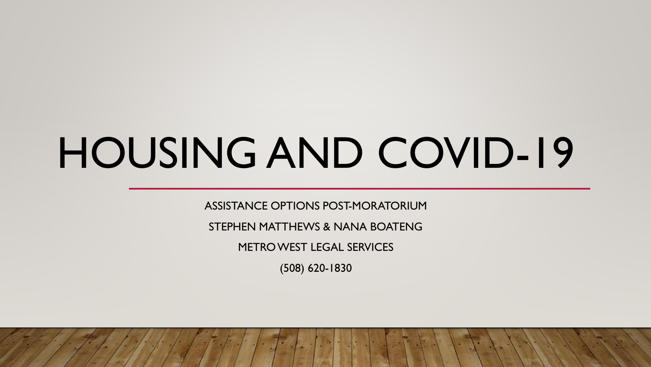# HOUSING AND COVID-19

ASSISTANCE OPTIONS POST-MORATORIUM

STEPHEN MATTHEWS & NANA BOATENG

METRO WEST LEGAL SERVICES

(508) 620-1830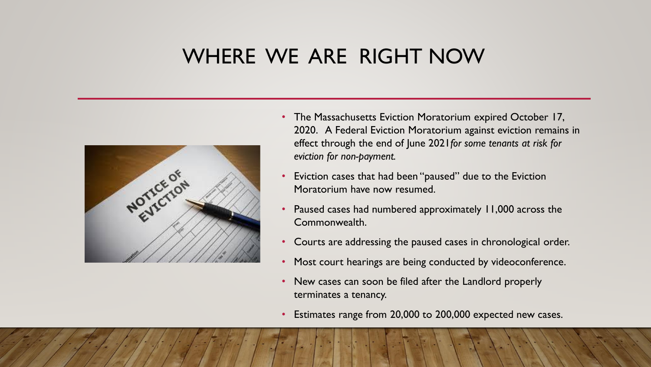### WHERE WE ARE RIGHT NOW



- The Massachusetts Eviction Moratorium expired October 17, 2020. A Federal Eviction Moratorium against eviction remains in effect through the end of June 2021*for some tenants at risk for eviction for non-payment.*
- Eviction cases that had been "paused" due to the Eviction Moratorium have now resumed.
- Paused cases had numbered approximately 11,000 across the Commonwealth.
- Courts are addressing the paused cases in chronological order.
- Most court hearings are being conducted by videoconference.
- New cases can soon be filed after the Landlord properly terminates a tenancy.
- Estimates range from 20,000 to 200,000 expected new cases.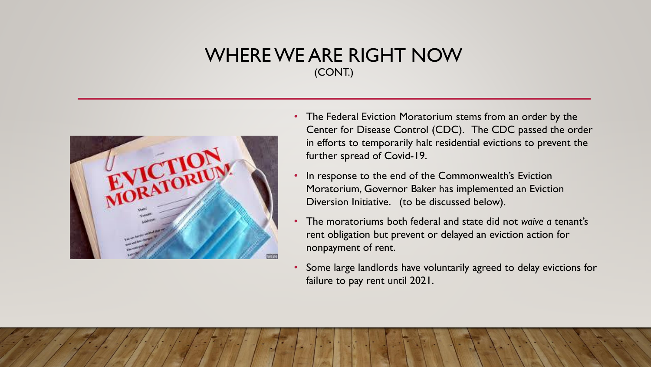### WHERE WE ARE RIGHT NOW (CONT.)



- The Federal Eviction Moratorium stems from an order by the Center for Disease Control (CDC). The CDC passed the order in efforts to temporarily halt residential evictions to prevent the further spread of Covid-19.
- In response to the end of the Commonwealth's Eviction Moratorium, Governor Baker has implemented an Eviction Diversion Initiative. (to be discussed below).
- The moratoriums both federal and state did not *waive a* tenant's rent obligation but prevent or delayed an eviction action for nonpayment of rent.
- Some large landlords have voluntarily agreed to delay evictions for failure to pay rent until 2021.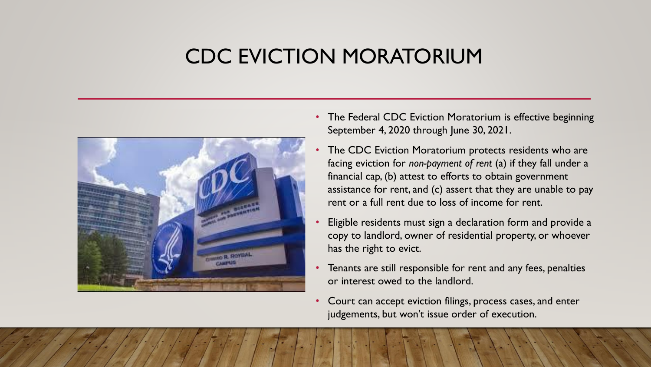### CDC EVICTION MORATORIUM



- The Federal CDC Eviction Moratorium is effective beginning September 4, 2020 through June 30, 2021.
- The CDC Eviction Moratorium protects residents who are facing eviction for *non-payment of rent* (a) if they fall under a financial cap, (b) attest to efforts to obtain government assistance for rent, and (c) assert that they are unable to pay rent or a full rent due to loss of income for rent.
- Eligible residents must sign a declaration form and provide a copy to landlord, owner of residential property, or whoever has the right to evict.
- Tenants are still responsible for rent and any fees, penalties or interest owed to the landlord.
- Court can accept eviction filings, process cases, and enter judgements, but won't issue order of execution.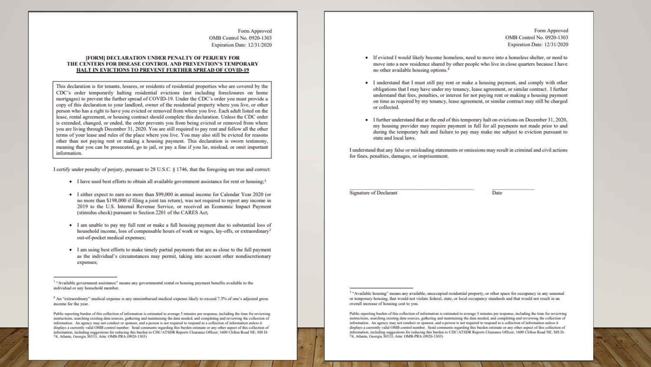Form Approved **OMB Control No. 0920-1303** Expiration Date: 12/31/2020

#### **IFORMI DECLARATION UNDER PENALTY OF PERJURY FOR** THE CENTERS FOR DISEASE CONTROL AND PREVENTION'S TEMPORARY HALT IN EVICTIONS TO PREVENT FURTHER SPREAD OF COVID-19

This declaration is for tenants, lessees, or residents of residential properties who are covered by the CDC's order temporarily halting residential evictions (not including foreclosures on home mortgages) to prevent the further spread of COVID-19. Under the CDC's order you must provide a copy of this declaration to your landlord, owner of the residential property where you live, or other person who has a right to have you evicted or removed from where you live. Each adult listed on the lease, rental agreement, or housing contract should complete this declaration. Unless the CDC order is extended, changed, or ended, the order prevents you from being evicted or removed from where you are living through December 31, 2020. You are still required to pay rent and follow all the other terms of your lease and rules of the place where you live. You may also still be evicted for reasons other than not paying rent or making a housing payment. This declaration is sworn testimony, meaning that you can be prosecuted, go to jail, or pay a fine if you lie, mislead, or omit important information.

I certify under penalty of perjury, pursuant to 28 U.S.C. § 1746, that the foregoing are true and correct:

- I have used best efforts to obtain all available government assistance for rent or housing;<sup>1</sup>
- I either expect to earn no more than \$99,000 in annual income for Calendar Year 2020 (or no more than \$198,000 if filing a joint tax return), was not required to report any income in 2019 to the U.S. Internal Revenue Service, or received an Economic Impact Payment (stimulus check) pursuant to Section 2201 of the CARES Act;
- I am unable to pay my full rent or make a full housing payment due to substantial loss of household income, loss of compensable hours of work or wages, lay-offs, or extraordinary<sup>2</sup> out-of-pocket medical expenses;
- I am using best efforts to make timely partial payments that are as close to the full payment as the individual's circumstances may permit, taking into account other nondiscretionary expenses;

<sup>1</sup> "Available government assistance" means any governmental rental or housing payment benefits available to the individual or any household member.

Form Approved **OMB Control No. 0920-1303** Expiration Date: 12/31/2020

- If evicted I would likely become homeless, need to move into a homeless shelter, or need to move into a new residence shared by other people who live in close quarters because I have no other available housing options.<sup>3</sup>
- I understand that I must still pay rent or make a housing payment, and comply with other obligations that I may have under my tenancy, lease agreement, or similar contract. I further understand that fees, penalties, or interest for not paying rent or making a housing payment on time as required by my tenancy, lease agreement, or similar contract may still be charged or collected.
- I further understand that at the end of this temporary halt on evictions on December 31, 2020, my housing provider may require payment in full for all payments not made prior to and during the temporary halt and failure to pay may make me subject to eviction pursuant to state and local laws.

I understand that any false or misleading statements or omissions may result in criminal and civil actions for fines, penalties, damages, or imprisonment.

**Signature of Declarant** 

Date

<sup>&</sup>lt;sup>2</sup> An "extraordinary" medical expense is any unreimbursed medical expense likely to exceed 7.5% of one's adjusted gross income for the year.

Public reporting burden of this collection of information is estimated to average 5 minutes per response, including the time for reviewing instructions, searching existing data sources, gathering and maintaining the data needed, and completing and reviewing the collection of information. An agency may not conduct or sponsor, and a person is not required to respond to a collection of information unless it displays a currently valid OMB control number. Send comments regarding this burden estimate or any other aspect of this collection of information, including suggestions for reducing this burden to CDC/ATSDR Reports Clearance Officer; 1600 Clifton Road NE, MS D-74, Atlanta, Georgia 30333; Attn: OMB-PRA (0920-1303)

<sup>&</sup>lt;sup>3</sup> "Available housing" means any available, unoccupied residential property, or other space for occupancy in any seasonal or temporary housing, that would not violate federal, state, or local occupancy standards and that would not result in an overall increase of housing cost to you.

Public reporting burden of this collection of information is estimated to average 5 minutes per response, including the time for reviewing instructions, searching existing data sources, gathering and maintaining the data needed, and completing and reviewing the collection of information. An agency may not conduct or sponsor, and a person is not required to respond to a collection of information unless it displays a currently valid OMB control number. Send comments regarding this burden estimate or any other aspect of this collection of information, including suggestions for reducing this burden to CDC/ATSDR Reports Clearance Officer; 1600 Clifton Road NE, MS D-74, Atlanta, Georgia 30333; Attn: OMB-PRA (0920-1303)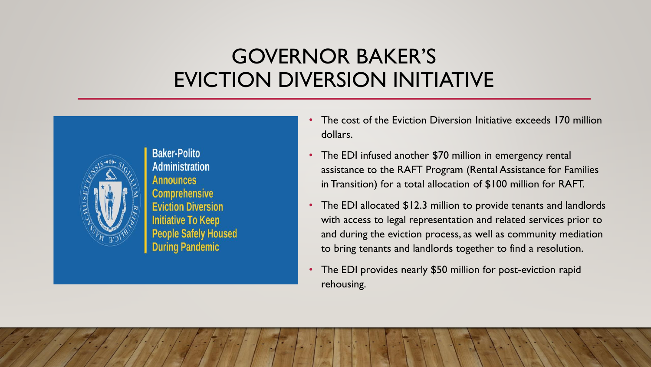### GOVERNOR BAKER'S EVICTION DIVERSION INITIATIVE



**Baker-Polito Administration Announces Comprehensive Eviction Diversion Initiative To Keep People Safely Housed During Pandemic** 

- The cost of the Eviction Diversion Initiative exceeds 170 million dollars.
- The EDI infused another \$70 million in emergency rental assistance to the RAFT Program (Rental Assistance for Families in Transition) for a total allocation of \$100 million for RAFT.
- The EDI allocated \$12.3 million to provide tenants and landlords with access to legal representation and related services prior to and during the eviction process, as well as community mediation to bring tenants and landlords together to find a resolution.
- The EDI provides nearly \$50 million for post-eviction rapid rehousing.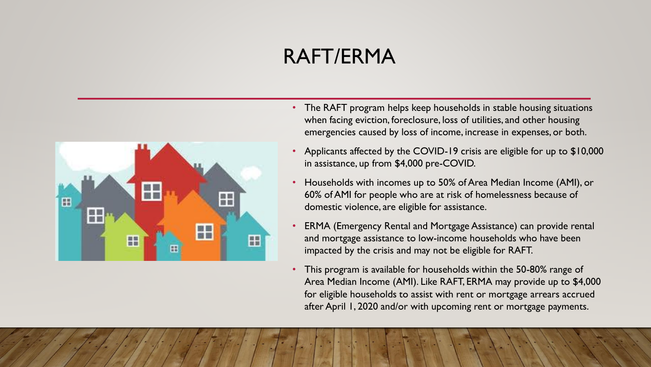# RAFT/ERMA



- The RAFT program helps keep households in stable housing situations when facing eviction, foreclosure, loss of utilities, and other housing emergencies caused by loss of income, increase in expenses, or both.
- Applicants affected by the COVID-19 crisis are eligible for up to \$10,000 in assistance, up from \$4,000 pre-COVID.
- Households with incomes up to 50% of Area Median Income (AMI), or 60% of AMI for people who are at risk of homelessness because of domestic violence, are eligible for assistance.
- ERMA (Emergency Rental and Mortgage Assistance) can provide rental and mortgage assistance to low-income households who have been impacted by the crisis and may not be eligible for RAFT.
- This program is available for households within the 50-80% range of Area Median Income (AMI). Like RAFT, ERMA may provide up to \$4,000 for eligible households to assist with rent or mortgage arrears accrued after April 1, 2020 and/or with upcoming rent or mortgage payments.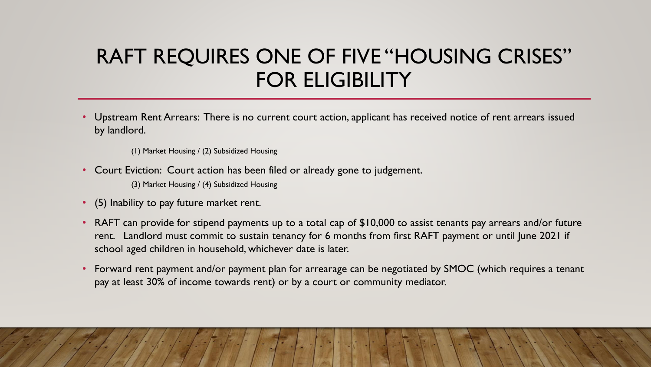### RAFT REQUIRES ONE OF FIVE "HOUSING CRISES" FOR ELIGIBILITY

• Upstream Rent Arrears: There is no current court action, applicant has received notice of rent arrears issued by landlord.

(1) Market Housing / (2) Subsidized Housing

• Court Eviction: Court action has been filed or already gone to judgement.

(3) Market Housing / (4) Subsidized Housing

- (5) Inability to pay future market rent.
- RAFT can provide for stipend payments up to a total cap of \$10,000 to assist tenants pay arrears and/or future rent. Landlord must commit to sustain tenancy for 6 months from first RAFT payment or until June 2021 if school aged children in household, whichever date is later.
- Forward rent payment and/or payment plan for arrearage can be negotiated by SMOC (which requires a tenant pay at least 30% of income towards rent) or by a court or community mediator.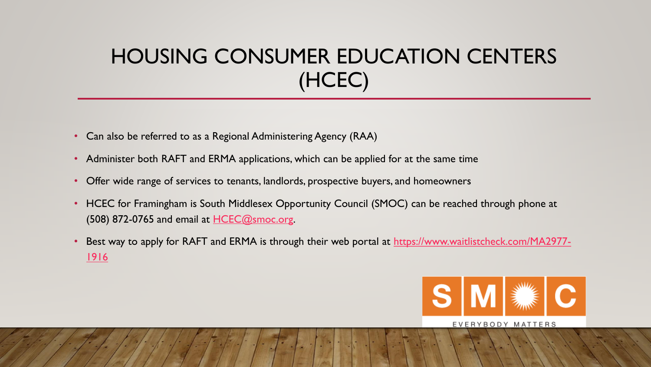# HOUSING CONSUMER EDUCATION CENTERS (HCEC)

- Can also be referred to as a Regional Administering Agency (RAA)
- Administer both RAFT and ERMA applications, which can be applied for at the same time
- Offer wide range of services to tenants, landlords, prospective buyers, and homeowners
- HCEC for Framingham is South Middlesex Opportunity Council (SMOC) can be reached through phone at  $(508)$  872-0765 and email at  $HCEC@smoc.org$ .
- [Best way to apply for RAFT and ERMA is through their web portal at](https://www.waitlistcheck.com/MA2977-1916) https://www.waitlistcheck.com/MA2977-1916



#### EVERYBODY MATTERS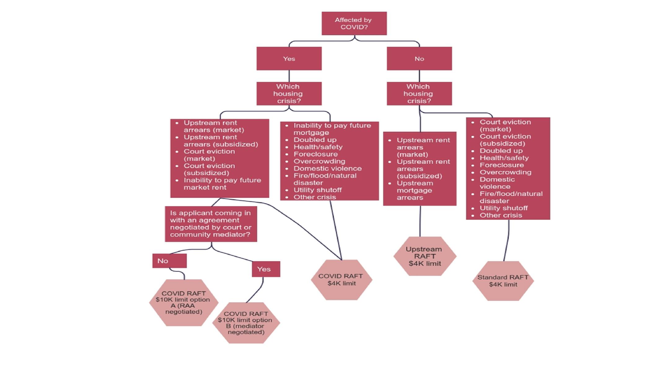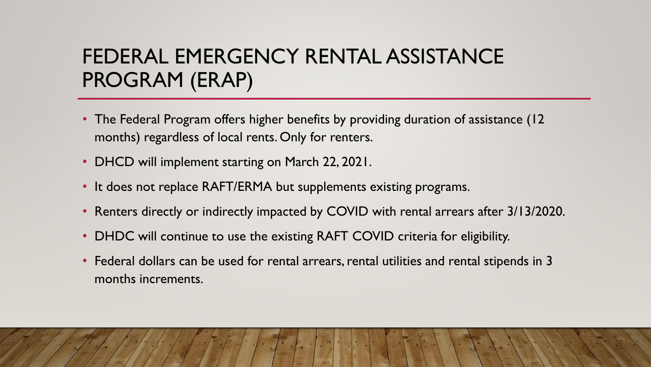# FEDERAL EMERGENCY RENTAL ASSISTANCE PROGRAM (ERAP)

- The Federal Program offers higher benefits by providing duration of assistance (12) months) regardless of local rents. Only for renters.
- DHCD will implement starting on March 22, 2021.
- It does not replace RAFT/ERMA but supplements existing programs.
- Renters directly or indirectly impacted by COVID with rental arrears after 3/13/2020.
- DHDC will continue to use the existing RAFT COVID criteria for eligibility.
- Federal dollars can be used for rental arrears, rental utilities and rental stipends in 3 months increments.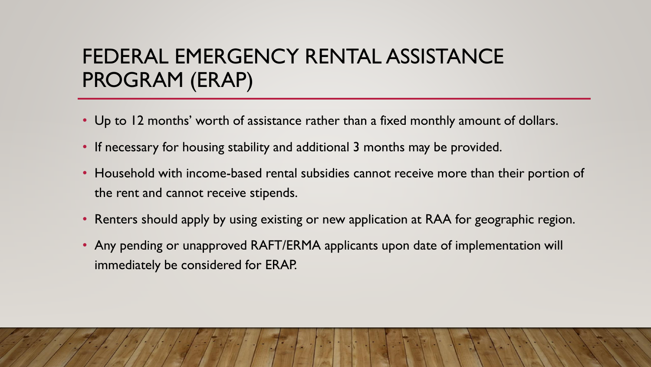# FEDERAL EMERGENCY RENTAL ASSISTANCE PROGRAM (ERAP)

- Up to 12 months' worth of assistance rather than a fixed monthly amount of dollars.
- If necessary for housing stability and additional 3 months may be provided.
- Household with income-based rental subsidies cannot receive more than their portion of the rent and cannot receive stipends.
- Renters should apply by using existing or new application at RAA for geographic region.
- Any pending or unapproved RAFT/ERMA applicants upon date of implementation will immediately be considered for ERAP.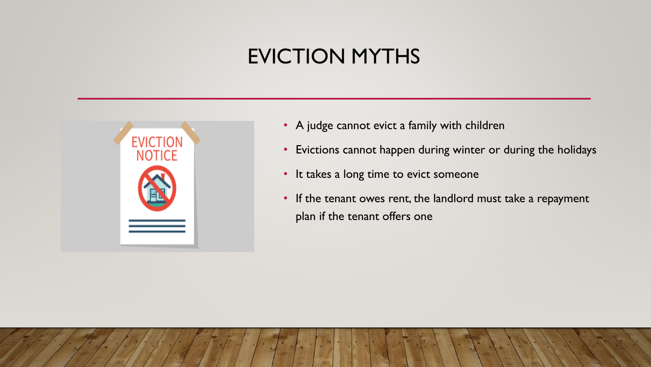### EVICTION MYTHS



- A judge cannot evict a family with children
- Evictions cannot happen during winter or during the holidays
- It takes a long time to evict someone
- If the tenant owes rent, the landlord must take a repayment plan if the tenant offers one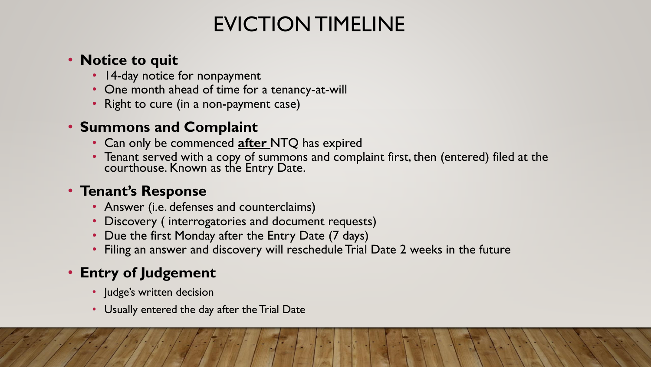# EVICTION TIMELINE

### • **Notice to quit**

- 14-day notice for nonpayment
- One month ahead of time for a tenancy-at-will
- Right to cure (in a non-payment case)

### • **Summons and Complaint**

- Can only be commenced **after** NTQ has expired
- Tenant served with a copy of summons and complaint first, then (entered) filed at the courthouse. Known as the Entry Date.

### • **Tenant's Response**

- Answer (i.e. defenses and counterclaims)
- Discovery ( interrogatories and document requests)
- Due the first Monday after the Entry Date (7 days)
- Filing an answer and discovery will reschedule Trial Date 2 weeks in the future

### • **Entry of Judgement**

- Judge's written decision
- Usually entered the day after the Trial Date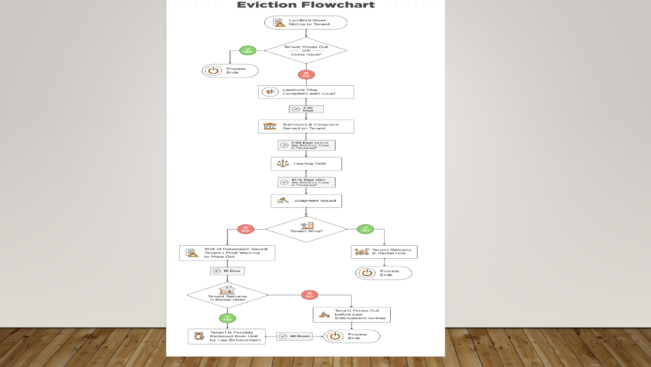

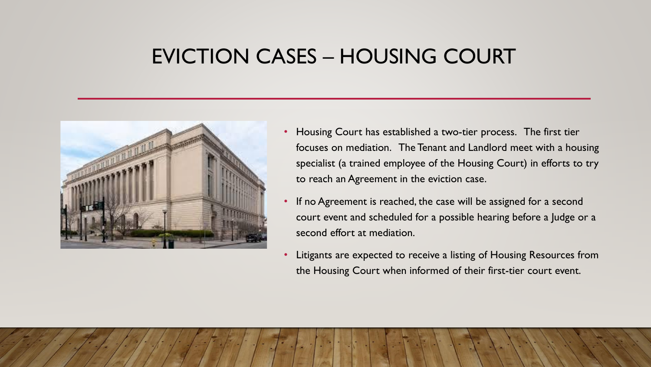### EVICTION CASES – HOUSING COURT



- Housing Court has established a two-tier process. The first tier focuses on mediation. The Tenant and Landlord meet with a housing specialist (a trained employee of the Housing Court) in efforts to try to reach an Agreement in the eviction case.
- If no Agreement is reached, the case will be assigned for a second court event and scheduled for a possible hearing before a Judge or a second effort at mediation.
- Litigants are expected to receive a listing of Housing Resources from the Housing Court when informed of their first-tier court event.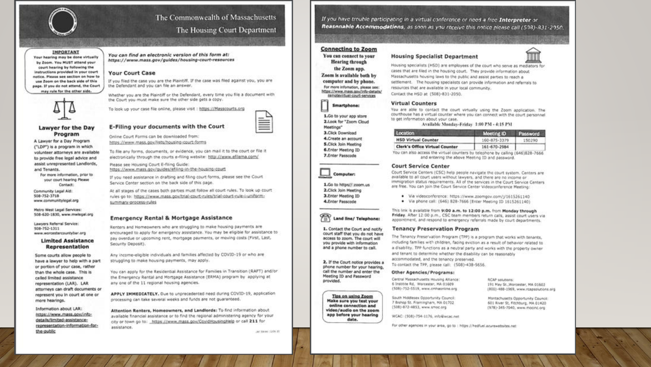

#### The Commonwealth of Massachusetts The Housing Court Department

#### IMPORTANT

Your hearing may be done virtually by Zoom. You MUST attend your court hearing by following the instructions provided in your court natice. Please see section on how to use Zoom on the back side of this page. If you do not attend, the Court may rule for the other side.



#### Lawyer for the Day Program

A Lawyer for a Day Program ("LDP") is a program in which volunteer attorneys are available to provide free legal advice and assist unrepresented Landlords, and Tenants.

For more information, prior to your court hearing Please Contact:

Community Legal Aid: 508-752-3718 www.communitylegel.org

Metro West Legal Services: 508-620-1830, www.mwlegal.org

Lawyers Referral Service: 508-752-1311 www.worcestercountybar.org

#### **Limited Assistance Representation**

Some courts allow people to have a lawyer to help with a part or portion of your case, rather than the whole case. This is called limited assistance representation (LAR). LAR attorneys can draft documents or represent you in court at one or more hearings.

Information about LAR: https://www.mass.gov/infodetails/limited-assistancerepresentation-information-forthe-public

You can find an electronic version of this form at: https://www.mass.gov/guides/housing-court-resources

**All of the Second Construction of the Construction** 

#### **Your Court Case**

If you filed the case you are the Plaintiff. If the case was filed against you, you are the Defendant and you can file an answer.

Whether you are the Plaintiff or the Defendant, every time you file a document with the Court you must make sure the other side gets a copy.

To look up your case file online, please visit : https://Masscourts.org

#### E-Filing your documents with the Court

Online Court Forms can be downloaded from: https://www.mass.gov/lists/housing-court-forms

To file any forms, documents, or evidence, you can mail it to the court or file it electronically through the courts e-filing website: http://www.efilema.com/

Please see Housing Court E-filing Guide: https://www.mass.gov/guides/efiling-in-the-housing-court

If you need assistance in drafting and filing court forms, please see the Court Service Center section on the back side of this page.

At all stages of the cases both parties must follow all court rules. To look up court rules go to: https://www.mass.gov/trial-court-rules/trial-court-rule-i-uniformsummary-process-rules

#### **Emergency Rental & Mortgage Assistance**

Renters and Homeowners who are struggling to make housing payments are encouraged to apply for emergency assistance. You may be eligible for assistance to pay overdue or upcoming rent, mortgage payments, or moving costs (First, Last, Security Deposit).

Any income-eligible individuals and families affected by COVID-19 or who are struggling to make housing payments, may apply.

You can apply for the Residential Assistance for Families in Transition (RAFT) and/or the Emergency Rental and Mortgage Assistance (ERMA) program by applying at any one of the 11 regional housing agencies.

APPLY IMMEDIATELY. Oue to unprecedented need during COVID-19, application processing can take several weeks and funds are not guaranteed.

Attention Renters, Homeowners, and Landlords: To find information about available financial assistance or to find the regional administering agency for your city or town go to: https://www.mass.gov/CovidHousingHelp or call 211 for assistance.

AC ENTRE 1974 TO

If you have trouble participating in a virtual conference or need a free Interpreter or Reasonable Accommodations, as soon as you receive this notice please call (508)-831-2050.

#### **Connecting to Zoom**

You can connect to your **Hearing** through the Zoom app. Zoom is available both by computer and by phone. for more information, please see: https://www.mass.gov/info-details/

remotevirtual-court-services **Smartphone:** 1.Go to your app store

2.Look for "Zoom Cloud Meetings" 3. Click Download 4.Create an account **S.Click Join Meeting** 6.Enter Meeting ID 7.Enter Passcode



1.Go to https//:zoom.us 2.Click Join Meeting 3.Enter Meeting ID 4.Enter Passcode



1. Contact the Court and notify court staff that you do not have access to zoom. The court will you provide with information and a phone number to call.

2. If the Court notice provides a phone number for your hearing, call the number and enter the Meeting ID and Password provided.

Tips on using Zoom Make sure you test your online connection and video/audio on the zoom app before your hearing date.

#### **Housing Specialist Department**

Housing specialists (HSD) are employees of the court who serve as mediators for

cases that are filed in the housing court. They provide information about Massachusetts housing laws to the public and assist parties to reach a settlement. The housing specialists can provide information and referrals to resources that are available in your local community. Contact the HSD at (508)-831-2050.

#### **Virtual Counters**

You are able to contact the court virtually using the Zoom application. The courthouse has a virtual counter where you can connect with the court personnel to get information about your case.

Available Monday-Friday 1:00 PM - 4:15 PM

| Location                              | Meeting ID   | Password |
|---------------------------------------|--------------|----------|
| <b>HSD Virtual Counter</b>            | 160-875-3379 | 150290   |
| <b>Clerk's Office Virtual Counter</b> | 161-670-2984 |          |

You can also access the virtual counters by telephone by calling (646)828-7666 and entering the above Meeting ID and password.

#### **Court Service Center**

Court Service Centers (CSC) help people navigate the court system. Centers are available to all court users without lawyers, and there are no income or immigration status requirements. All of the services in the Court Service Centers are free. You can join the Court Service Center Videoconference Meeting:

- · Via videoconference: https://www.zoomgov.com/y1615261140
- · Via phone call: (646) 828-7666 (Enter Meeting ID 1615261140)

This link is available from 9:00 a.m. to 12:00 p.m. from Monday through Friday. After 12:00 p.m., CSC team members return calls, assist court users via appointment, and respond to emergency referrals made by court departments.

#### **Tenancy Preservation Program**

The Tenancy Preservation Program (TPP) is a program that works with tenants, including families with children, facing eviction as a result of behavior related to a disability. TPP functions as a neutral party and works with the property owner and tenant to determine whether the disability can be reasonably accommodated, and the tenancy preserved. To contact the TPP, please call: (508)-438-5656.

#### Other Agencies/Programs:

Central Massachusetts Housing Alliance: 6 Institute Rd, Warcester, MA 01609 (508)-752-5519, www.cmhaonline.org

South Middlesex Opportunity Council: 7 Bishop St. Framingham, MA 01702 (508)-872-4853, www.smoc.org

WCAC: (508)-754-1176, info@incac.net

RCAP solutions: 191 May St., Worcester, MA 01602 (800)-488-1969, www.rcapsolutions.org

Montachusetts Opportunity Council: 601 River St, Fitchburg, MA 01420 (978)-345-7040, www.mocinc.org

for other agencies in your area, go to : https://hedfuel.asurewebsites.net







≡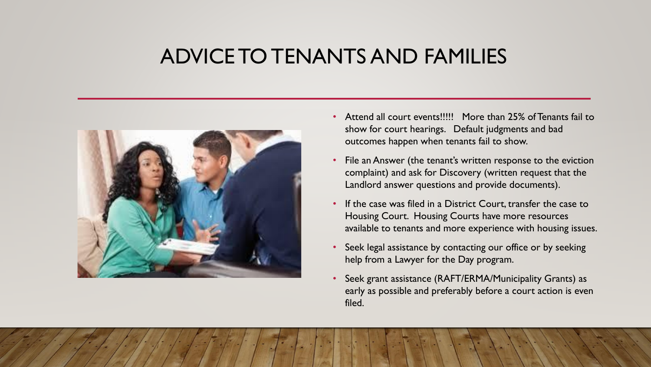### ADVICE TO TENANTS AND FAMILIES



- Attend all court events!!!!! More than 25% of Tenants fail to show for court hearings. Default judgments and bad outcomes happen when tenants fail to show.
- File an Answer (the tenant's written response to the eviction complaint) and ask for Discovery (written request that the Landlord answer questions and provide documents).
- If the case was filed in a District Court, transfer the case to Housing Court. Housing Courts have more resources available to tenants and more experience with housing issues.
- Seek legal assistance by contacting our office or by seeking help from a Lawyer for the Day program.
- Seek grant assistance (RAFT/ERMA/Municipality Grants) as early as possible and preferably before a court action is even filed.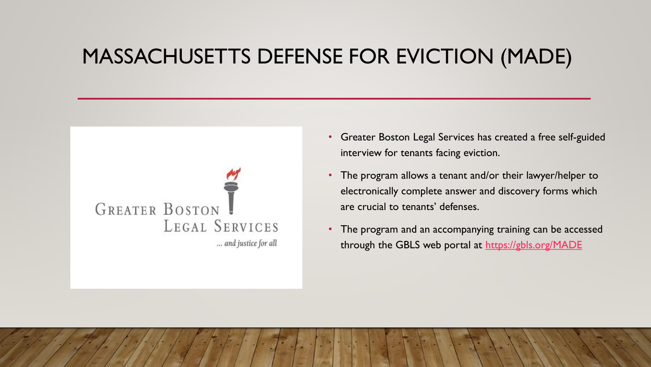### MASSACHUSETTS DEFENSE FOR EVICTION (MADE)



- Greater Boston Legal Services has created a free self-guided interview for tenants facing eviction.
- The program allows a tenant and/or their lawyer/helper to electronically complete answer and discovery forms which are crucial to tenants' defenses.
- The program and an accompanying training can be accessed through the GBLS web portal at <https://gbls.org/MADE>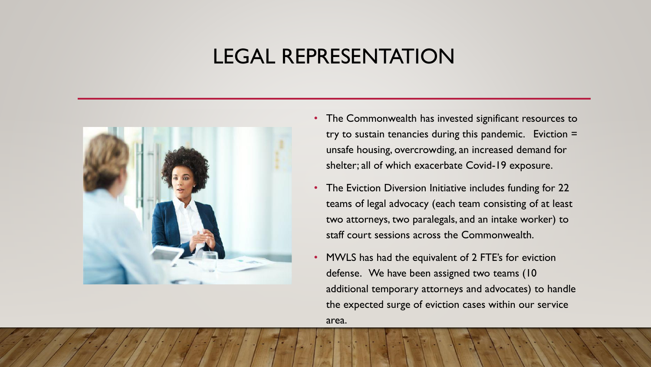### LEGAL REPRESENTATION



- The Commonwealth has invested significant resources to try to sustain tenancies during this pandemic. Eviction = unsafe housing, overcrowding, an increased demand for shelter; all of which exacerbate Covid-19 exposure.
- The Eviction Diversion Initiative includes funding for 22 teams of legal advocacy (each team consisting of at least two attorneys, two paralegals, and an intake worker) to staff court sessions across the Commonwealth.
- MWLS has had the equivalent of 2 FTE's for eviction defense. We have been assigned two teams (10 additional temporary attorneys and advocates) to handle the expected surge of eviction cases within our service area.